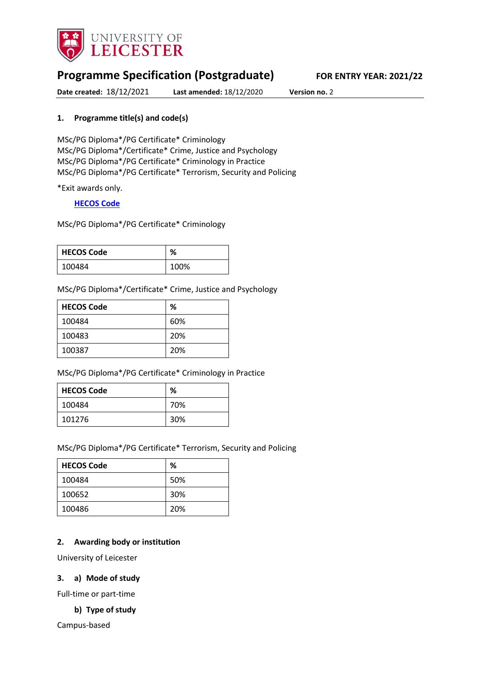

# **Programme Specification (Postgraduate) FOR ENTRY YEAR: 2021/22**

**Date created:** 18/12/2021 **Last amended:** 18/12/2020 **Version no.** 2

### <span id="page-0-0"></span>**1. Programme title(s) and code(s)**

MSc/PG Diploma\*/PG Certificate\* Criminology MSc/PG Diploma\*/Certificate\* Crime, Justice and Psychology MSc/PG Diploma\*/PG Certificate\* Criminology in Practice MSc/PG Diploma\*/PG Certificate\* Terrorism, Security and Policing

\*Exit awards only.

#### **[HECOS Code](https://www.hesa.ac.uk/innovation/hecos)**

MSc/PG Diploma\*/PG Certificate\* Criminology

| <b>HECOS Code</b> | %    |
|-------------------|------|
| 100484            | 100% |

MSc/PG Diploma\*/Certificate\* Crime, Justice and Psychology

| <b>HECOS Code</b> | %   |
|-------------------|-----|
| 100484            | 60% |
| 100483            | 20% |
| 100387            | 20% |

MSc/PG Diploma\*/PG Certificate\* Criminology in Practice

| <b>HECOS Code</b> | %   |
|-------------------|-----|
| 100484            | 70% |
| 101276            | 30% |

MSc/PG Diploma\*/PG Certificate\* Terrorism, Security and Policing

| <b>HECOS Code</b> | %   |
|-------------------|-----|
| 100484            | 50% |
| 100652            | 30% |
| 100486            | 20% |

#### **2. Awarding body or institution**

University of Leicester

#### **3. a) Mode of study**

Full-time or part-time

## **b) Type of study**

Campus-based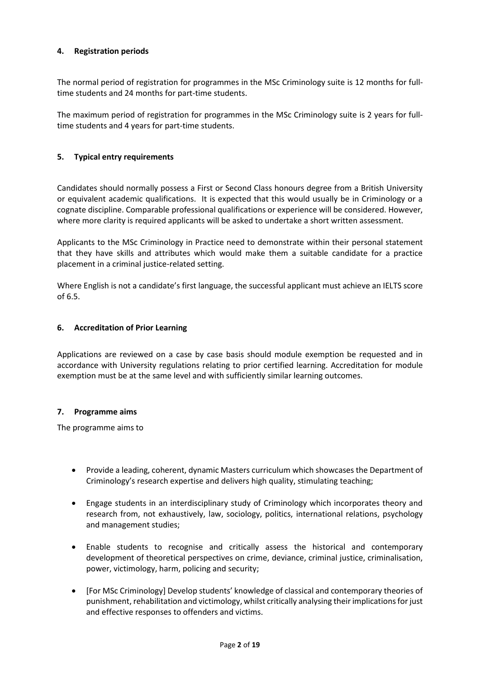#### **4. Registration periods**

The normal period of registration for programmes in the MSc Criminology suite is 12 months for fulltime students and 24 months for part-time students.

The maximum period of registration for programmes in the MSc Criminology suite is 2 years for fulltime students and 4 years for part-time students.

#### **5. Typical entry requirements**

Candidates should normally possess a First or Second Class honours degree from a British University or equivalent academic qualifications. It is expected that this would usually be in Criminology or a cognate discipline. Comparable professional qualifications or experience will be considered. However, where more clarity is required applicants will be asked to undertake a short written assessment.

Applicants to the MSc Criminology in Practice need to demonstrate within their personal statement that they have skills and attributes which would make them a suitable candidate for a practice placement in a criminal justice-related setting.

Where English is not a candidate's first language, the successful applicant must achieve an IELTS score of 6.5.

#### **6. Accreditation of Prior Learning**

Applications are reviewed on a case by case basis should module exemption be requested and in accordance with University regulations relating to prior certified learning. Accreditation for module exemption must be at the same level and with sufficiently similar learning outcomes.

#### **7. Programme aims**

The programme aims to

- Provide a leading, coherent, dynamic Masters curriculum which showcases the Department of Criminology's research expertise and delivers high quality, stimulating teaching;
- Engage students in an interdisciplinary study of Criminology which incorporates theory and research from, not exhaustively, law, sociology, politics, international relations, psychology and management studies;
- Enable students to recognise and critically assess the historical and contemporary development of theoretical perspectives on crime, deviance, criminal justice, criminalisation, power, victimology, harm, policing and security;
- [For MSc Criminology] Develop students' knowledge of classical and contemporary theories of punishment, rehabilitation and victimology, whilst critically analysing their implications for just and effective responses to offenders and victims.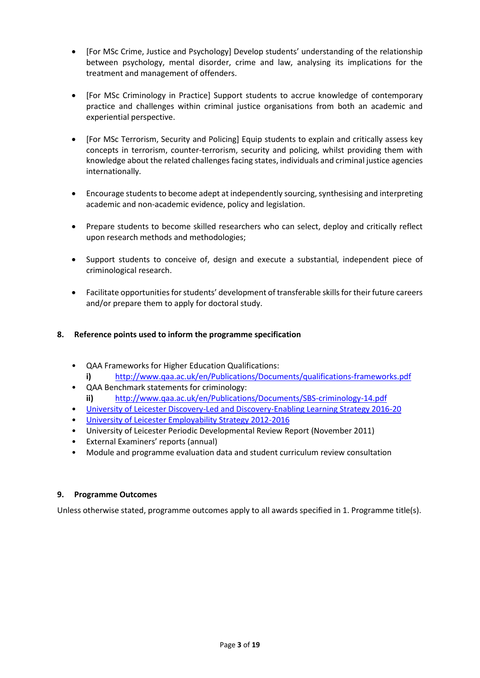- [For MSc Crime, Justice and Psychology] Develop students' understanding of the relationship between psychology, mental disorder, crime and law, analysing its implications for the treatment and management of offenders.
- [For MSc Criminology in Practice] Support students to accrue knowledge of contemporary practice and challenges within criminal justice organisations from both an academic and experiential perspective.
- [For MSc Terrorism, Security and Policing] Equip students to explain and critically assess key concepts in terrorism, counter-terrorism, security and policing, whilst providing them with knowledge about the related challenges facing states, individuals and criminal justice agencies internationally.
- Encourage students to become adept at independently sourcing, synthesising and interpreting academic and non-academic evidence, policy and legislation.
- Prepare students to become skilled researchers who can select, deploy and critically reflect upon research methods and methodologies;
- Support students to conceive of, design and execute a substantial, independent piece of criminological research.
- Facilitate opportunities for students' development of transferable skills for their future careers and/or prepare them to apply for doctoral study.

## **8. Reference points used to inform the programme specification**

- QAA Frameworks for Higher Education Qualifications: **i)** <http://www.qaa.ac.uk/en/Publications/Documents/qualifications-frameworks.pdf>
- QAA Benchmark statements for criminology: **ii)** <http://www.qaa.ac.uk/en/Publications/Documents/SBS-criminology-14.pdf>
- [University of Leicester Discovery-Led and Discovery-Enabling Learning Strategy 2016-20](http://www2.le.ac.uk/offices/sas2/quality/learnteach)
- [University of Leicester Employability Strategy 2012-2016](https://www2.le.ac.uk/offices/careers-new/information/cds/strategy)
- University of Leicester Periodic Developmental Review Report (November 2011)
- External Examiners' reports (annual)
- Module and programme evaluation data and student curriculum review consultation

#### **9. Programme Outcomes**

Unless otherwise stated, programme outcomes apply to all awards specified in [1.](#page-0-0) Programme title(s).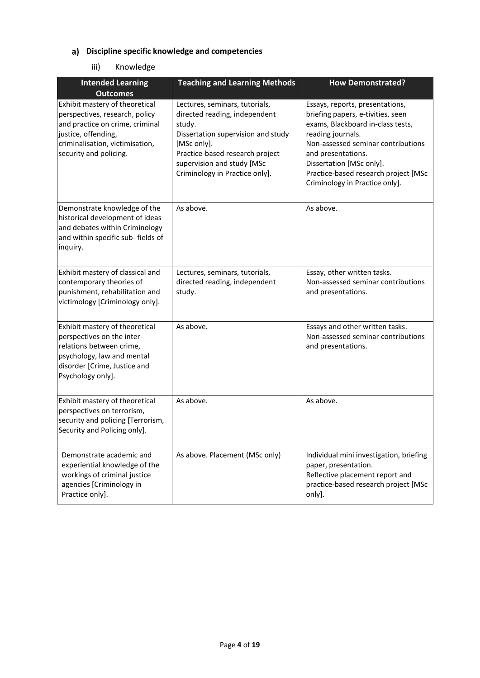# **Discipline specific knowledge and competencies**

## iii) Knowledge

| <b>Intended Learning</b><br><b>Outcomes</b>                                                                                                                                             | <b>Teaching and Learning Methods</b>                                                                                                                                                                                              | <b>How Demonstrated?</b>                                                                                                                                                                                                                                                                         |
|-----------------------------------------------------------------------------------------------------------------------------------------------------------------------------------------|-----------------------------------------------------------------------------------------------------------------------------------------------------------------------------------------------------------------------------------|--------------------------------------------------------------------------------------------------------------------------------------------------------------------------------------------------------------------------------------------------------------------------------------------------|
| Exhibit mastery of theoretical<br>perspectives, research, policy<br>and practice on crime, criminal<br>justice, offending,<br>criminalisation, victimisation,<br>security and policing. | Lectures, seminars, tutorials,<br>directed reading, independent<br>study.<br>Dissertation supervision and study<br>[MSc only].<br>Practice-based research project<br>supervision and study [MSc<br>Criminology in Practice only]. | Essays, reports, presentations,<br>briefing papers, e-tivities, seen<br>exams, Blackboard in-class tests,<br>reading journals.<br>Non-assessed seminar contributions<br>and presentations.<br>Dissertation [MSc only].<br>Practice-based research project [MSc<br>Criminology in Practice only]. |
| Demonstrate knowledge of the<br>historical development of ideas<br>and debates within Criminology<br>and within specific sub- fields of<br>inquiry.                                     | As above.                                                                                                                                                                                                                         | As above.                                                                                                                                                                                                                                                                                        |
| Exhibit mastery of classical and<br>contemporary theories of<br>punishment, rehabilitation and<br>victimology [Criminology only].                                                       | Lectures, seminars, tutorials,<br>directed reading, independent<br>study.                                                                                                                                                         | Essay, other written tasks.<br>Non-assessed seminar contributions<br>and presentations.                                                                                                                                                                                                          |
| Exhibit mastery of theoretical<br>perspectives on the inter-<br>relations between crime,<br>psychology, law and mental<br>disorder [Crime, Justice and<br>Psychology only].             | As above.                                                                                                                                                                                                                         | Essays and other written tasks.<br>Non-assessed seminar contributions<br>and presentations.                                                                                                                                                                                                      |
| Exhibit mastery of theoretical<br>perspectives on terrorism,<br>security and policing [Terrorism,<br>Security and Policing only].                                                       | As above.                                                                                                                                                                                                                         | As above.                                                                                                                                                                                                                                                                                        |
| Demonstrate academic and<br>experiential knowledge of the<br>workings of criminal justice<br>agencies [Criminology in<br>Practice only].                                                | As above. Placement (MSc only)                                                                                                                                                                                                    | Individual mini investigation, briefing<br>paper, presentation.<br>Reflective placement report and<br>practice-based research project [MSc<br>only].                                                                                                                                             |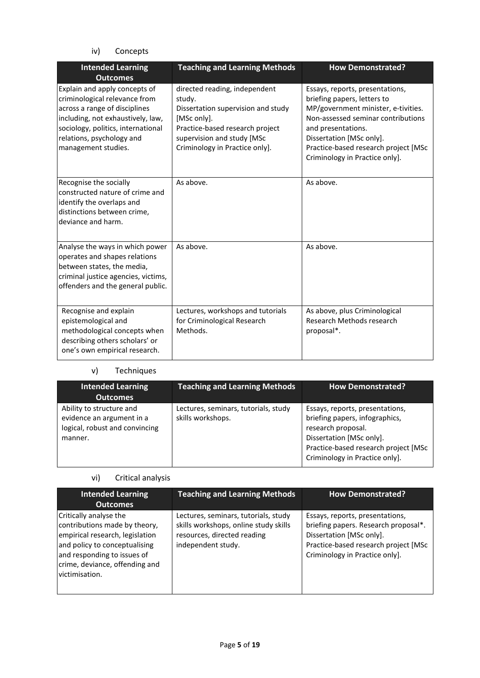## iv) Concepts

| <b>Intended Learning</b><br><b>Outcomes</b>                                                                                                                                                                                    | <b>Teaching and Learning Methods</b>                                                                                                                                                            | <b>How Demonstrated?</b>                                                                                                                                                                                                                                                |
|--------------------------------------------------------------------------------------------------------------------------------------------------------------------------------------------------------------------------------|-------------------------------------------------------------------------------------------------------------------------------------------------------------------------------------------------|-------------------------------------------------------------------------------------------------------------------------------------------------------------------------------------------------------------------------------------------------------------------------|
| Explain and apply concepts of<br>criminological relevance from<br>across a range of disciplines<br>including, not exhaustively, law,<br>sociology, politics, international<br>relations, psychology and<br>management studies. | directed reading, independent<br>study.<br>Dissertation supervision and study<br>[MSc only].<br>Practice-based research project<br>supervision and study [MSc<br>Criminology in Practice only]. | Essays, reports, presentations,<br>briefing papers, letters to<br>MP/government minister, e-tivities.<br>Non-assessed seminar contributions<br>and presentations.<br>Dissertation [MSc only].<br>Practice-based research project [MSc<br>Criminology in Practice only]. |
| Recognise the socially<br>constructed nature of crime and<br>identify the overlaps and<br>distinctions between crime,<br>deviance and harm.                                                                                    | As above.                                                                                                                                                                                       | As above.                                                                                                                                                                                                                                                               |
| Analyse the ways in which power<br>operates and shapes relations<br>between states, the media,<br>criminal justice agencies, victims,<br>offenders and the general public.                                                     | As above.                                                                                                                                                                                       | As above.                                                                                                                                                                                                                                                               |
| Recognise and explain<br>epistemological and<br>methodological concepts when<br>describing others scholars' or<br>one's own empirical research.                                                                                | Lectures, workshops and tutorials<br>for Criminological Research<br>Methods.                                                                                                                    | As above, plus Criminological<br>Research Methods research<br>proposal*.                                                                                                                                                                                                |

# v) Techniques

| <b>Intended Learning</b><br><b>Outcomes</b>                                                        | <b>Teaching and Learning Methods</b>                      | <b>How Demonstrated?</b>                                                                                                                                                                      |
|----------------------------------------------------------------------------------------------------|-----------------------------------------------------------|-----------------------------------------------------------------------------------------------------------------------------------------------------------------------------------------------|
| Ability to structure and<br>evidence an argument in a<br>logical, robust and convincing<br>manner. | Lectures, seminars, tutorials, study<br>skills workshops. | Essays, reports, presentations,<br>briefing papers, infographics,<br>research proposal.<br>Dissertation [MSc only].<br>Practice-based research project [MSc<br>Criminology in Practice only]. |

#### vi) Critical analysis

| <b>Intended Learning</b><br><b>Outcomes</b>                                                                                                                                                                    | <b>Teaching and Learning Methods</b>                                                                                               | <b>How Demonstrated?</b>                                                                                                                                                      |
|----------------------------------------------------------------------------------------------------------------------------------------------------------------------------------------------------------------|------------------------------------------------------------------------------------------------------------------------------------|-------------------------------------------------------------------------------------------------------------------------------------------------------------------------------|
| Critically analyse the<br>contributions made by theory,<br>empirical research, legislation<br>and policy to conceptualising<br>and responding to issues of<br>crime, deviance, offending and<br>victimisation. | Lectures, seminars, tutorials, study<br>skills workshops, online study skills<br>resources, directed reading<br>independent study. | Essays, reports, presentations,<br>briefing papers. Research proposal*.<br>Dissertation [MSc only].<br>Practice-based research project [MSc<br>Criminology in Practice only]. |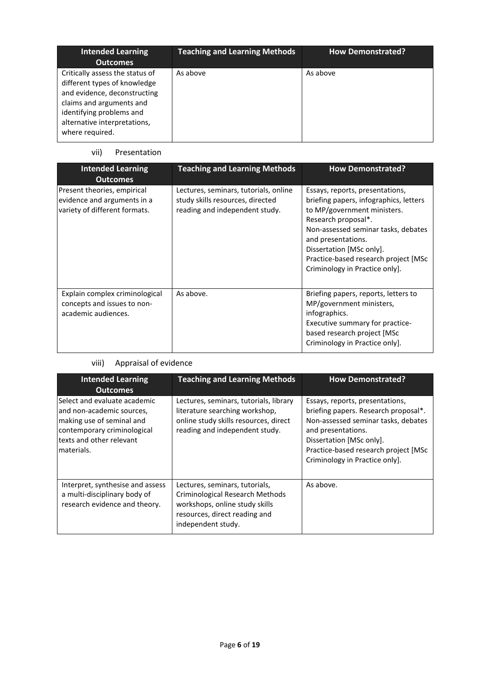| <b>Intended Learning</b><br><b>Outcomes</b>                                                                                                                                                                | <b>Teaching and Learning Methods</b> | <b>How Demonstrated?</b> |
|------------------------------------------------------------------------------------------------------------------------------------------------------------------------------------------------------------|--------------------------------------|--------------------------|
| Critically assess the status of<br>different types of knowledge<br>and evidence, deconstructing<br>claims and arguments and<br>identifying problems and<br>alternative interpretations,<br>where required. | As above                             | As above                 |

#### vii) Presentation

| <b>Intended Learning</b><br><b>Outcomes</b>                                                 | <b>Teaching and Learning Methods</b>                                                                        | <b>How Demonstrated?</b>                                                                                                                                                                                                                                                                           |
|---------------------------------------------------------------------------------------------|-------------------------------------------------------------------------------------------------------------|----------------------------------------------------------------------------------------------------------------------------------------------------------------------------------------------------------------------------------------------------------------------------------------------------|
| Present theories, empirical<br>evidence and arguments in a<br>variety of different formats. | Lectures, seminars, tutorials, online<br>study skills resources, directed<br>reading and independent study. | Essays, reports, presentations,<br>briefing papers, infographics, letters<br>to MP/government ministers.<br>Research proposal*.<br>Non-assessed seminar tasks, debates<br>and presentations.<br>Dissertation [MSc only].<br>Practice-based research project [MSc<br>Criminology in Practice only]. |
| Explain complex criminological<br>concepts and issues to non-<br>academic audiences.        | As above.                                                                                                   | Briefing papers, reports, letters to<br>MP/government ministers,<br>infographics.<br>Executive summary for practice-<br>based research project [MSc<br>Criminology in Practice only].                                                                                                              |

# viii) Appraisal of evidence

| <b>Intended Learning</b><br><b>Outcomes</b>                                                                                                                      | <b>Teaching and Learning Methods</b>                                                                                                                       | <b>How Demonstrated?</b>                                                                                                                                                                                                                   |
|------------------------------------------------------------------------------------------------------------------------------------------------------------------|------------------------------------------------------------------------------------------------------------------------------------------------------------|--------------------------------------------------------------------------------------------------------------------------------------------------------------------------------------------------------------------------------------------|
| Select and evaluate academic<br>and non-academic sources,<br>making use of seminal and<br>contemporary criminological<br>texts and other relevant<br>lmaterials. | Lectures, seminars, tutorials, library<br>literature searching workshop,<br>online study skills resources, direct<br>reading and independent study.        | Essays, reports, presentations,<br>briefing papers. Research proposal*.<br>Non-assessed seminar tasks, debates<br>and presentations.<br>Dissertation [MSc only].<br>Practice-based research project [MSc<br>Criminology in Practice only]. |
| Interpret, synthesise and assess<br>a multi-disciplinary body of<br>research evidence and theory.                                                                | Lectures, seminars, tutorials,<br>Criminological Research Methods<br>workshops, online study skills<br>resources, direct reading and<br>independent study. | As above.                                                                                                                                                                                                                                  |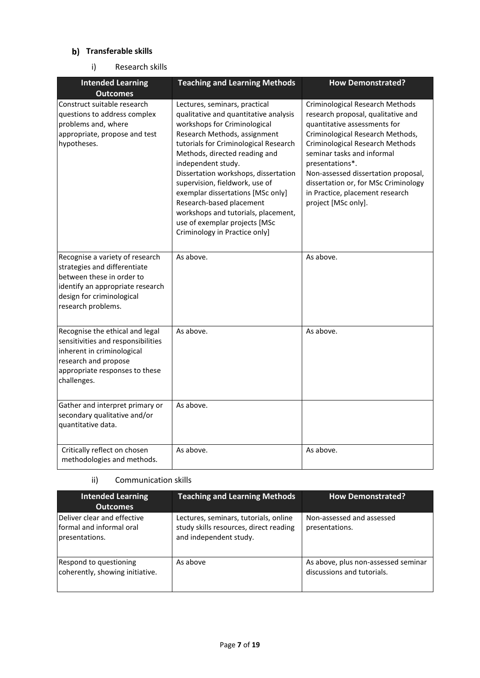## **Transferable skills**

#### i) Research skills

| <b>Intended Learning</b><br><b>Outcomes</b>                                                                                                                                         | <b>Teaching and Learning Methods</b>                                                                                                                                                                                                                                                                                                                                                                                                                                                       | <b>How Demonstrated?</b>                                                                                                                                                                                                                                                                                                                                               |
|-------------------------------------------------------------------------------------------------------------------------------------------------------------------------------------|--------------------------------------------------------------------------------------------------------------------------------------------------------------------------------------------------------------------------------------------------------------------------------------------------------------------------------------------------------------------------------------------------------------------------------------------------------------------------------------------|------------------------------------------------------------------------------------------------------------------------------------------------------------------------------------------------------------------------------------------------------------------------------------------------------------------------------------------------------------------------|
| Construct suitable research<br>questions to address complex<br>problems and, where<br>appropriate, propose and test<br>hypotheses.                                                  | Lectures, seminars, practical<br>qualitative and quantitative analysis<br>workshops for Criminological<br>Research Methods, assignment<br>tutorials for Criminological Research<br>Methods, directed reading and<br>independent study.<br>Dissertation workshops, dissertation<br>supervision, fieldwork, use of<br>exemplar dissertations [MSc only]<br>Research-based placement<br>workshops and tutorials, placement,<br>use of exemplar projects [MSc<br>Criminology in Practice only] | Criminological Research Methods<br>research proposal, qualitative and<br>quantitative assessments for<br>Criminological Research Methods,<br>Criminological Research Methods<br>seminar tasks and informal<br>presentations*.<br>Non-assessed dissertation proposal,<br>dissertation or, for MSc Criminology<br>in Practice, placement research<br>project [MSc only]. |
| Recognise a variety of research<br>strategies and differentiate<br>between these in order to<br>identify an appropriate research<br>design for criminological<br>research problems. | As above.                                                                                                                                                                                                                                                                                                                                                                                                                                                                                  | As above.                                                                                                                                                                                                                                                                                                                                                              |
| Recognise the ethical and legal<br>sensitivities and responsibilities<br>inherent in criminological<br>research and propose<br>appropriate responses to these<br>challenges.        | As above.                                                                                                                                                                                                                                                                                                                                                                                                                                                                                  | As above.                                                                                                                                                                                                                                                                                                                                                              |
| Gather and interpret primary or<br>secondary qualitative and/or<br>quantitative data.                                                                                               | As above.                                                                                                                                                                                                                                                                                                                                                                                                                                                                                  |                                                                                                                                                                                                                                                                                                                                                                        |
| Critically reflect on chosen<br>methodologies and methods.                                                                                                                          | As above.                                                                                                                                                                                                                                                                                                                                                                                                                                                                                  | As above.                                                                                                                                                                                                                                                                                                                                                              |

### ii) Communication skills

| <b>Intended Learning</b><br><b>Outcomes</b>                                       | <b>Teaching and Learning Methods</b>                                                                      | <b>How Demonstrated?</b>                                          |
|-----------------------------------------------------------------------------------|-----------------------------------------------------------------------------------------------------------|-------------------------------------------------------------------|
| Deliver clear and effective<br><b>Iformal and informal oral</b><br>presentations. | Lectures, seminars, tutorials, online<br>study skills resources, direct reading<br>and independent study. | Non-assessed and assessed<br>presentations.                       |
| Respond to questioning<br>coherently, showing initiative.                         | As above                                                                                                  | As above, plus non-assessed seminar<br>discussions and tutorials. |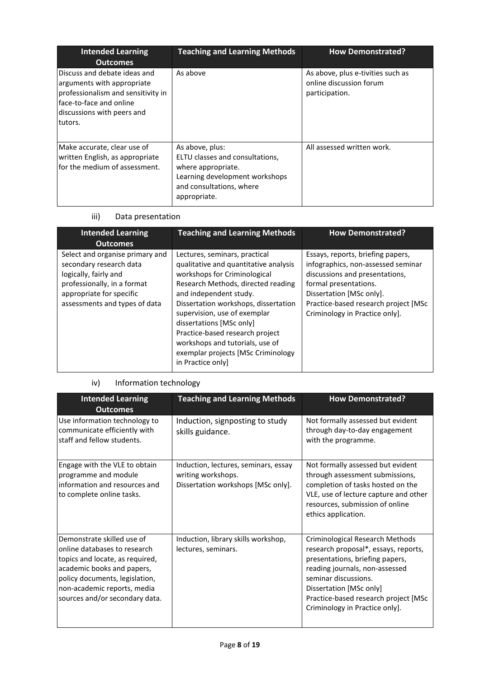| <b>Intended Learning</b><br><b>Outcomes</b>                                                                                                                           | <b>Teaching and Learning Methods</b>                                                                                                                   | <b>How Demonstrated?</b>                                                       |
|-----------------------------------------------------------------------------------------------------------------------------------------------------------------------|--------------------------------------------------------------------------------------------------------------------------------------------------------|--------------------------------------------------------------------------------|
| lDiscuss and debate ideas and<br>arguments with appropriate<br>professionalism and sensitivity in<br>face-to-face and online<br>discussions with peers and<br>tutors. | As above                                                                                                                                               | As above, plus e-tivities such as<br>online discussion forum<br>participation. |
| Make accurate, clear use of<br>written English, as appropriate<br>Ifor the medium of assessment.                                                                      | As above, plus:<br>ELTU classes and consultations.<br>where appropriate.<br>Learning development workshops<br>and consultations, where<br>appropriate. | All assessed written work.                                                     |

iii) Data presentation

| <b>Intended Learning</b><br><b>Outcomes</b>                                                                                                                                     | <b>Teaching and Learning Methods</b>                                                                                                                                                                                                                                                                                                                                                                       | <b>How Demonstrated?</b>                                                                                                                                                                                                                 |
|---------------------------------------------------------------------------------------------------------------------------------------------------------------------------------|------------------------------------------------------------------------------------------------------------------------------------------------------------------------------------------------------------------------------------------------------------------------------------------------------------------------------------------------------------------------------------------------------------|------------------------------------------------------------------------------------------------------------------------------------------------------------------------------------------------------------------------------------------|
| Select and organise primary and<br>secondary research data<br>logically, fairly and<br>professionally, in a format<br>appropriate for specific<br>assessments and types of data | Lectures, seminars, practical<br>qualitative and quantitative analysis<br>workshops for Criminological<br>Research Methods, directed reading<br>and independent study.<br>Dissertation workshops, dissertation<br>supervision, use of exemplar<br>dissertations [MSc only]<br>Practice-based research project<br>workshops and tutorials, use of<br>exemplar projects [MSc Criminology<br>in Practice only | Essays, reports, briefing papers,<br>infographics, non-assessed seminar<br>discussions and presentations,<br>formal presentations.<br>Dissertation [MSc only].<br>Practice-based research project [MSc<br>Criminology in Practice only]. |

# iv) Information technology

| <b>Intended Learning</b><br><b>Outcomes</b>                                                                                                                                                                                    | <b>Teaching and Learning Methods</b><br><b>How Demonstrated?</b>                                 |                                                                                                                                                                                                                                                                           |  |  |
|--------------------------------------------------------------------------------------------------------------------------------------------------------------------------------------------------------------------------------|--------------------------------------------------------------------------------------------------|---------------------------------------------------------------------------------------------------------------------------------------------------------------------------------------------------------------------------------------------------------------------------|--|--|
| Use information technology to<br>communicate efficiently with<br>staff and fellow students.                                                                                                                                    | Induction, signposting to study<br>skills guidance.                                              | Not formally assessed but evident<br>through day-to-day engagement<br>with the programme.                                                                                                                                                                                 |  |  |
| Engage with the VLE to obtain<br>programme and module<br>information and resources and<br>to complete online tasks.                                                                                                            | Induction, lectures, seminars, essay<br>writing workshops.<br>Dissertation workshops [MSc only]. | Not formally assessed but evident<br>through assessment submissions,<br>completion of tasks hosted on the<br>VLE, use of lecture capture and other<br>resources, submission of online<br>ethics application.                                                              |  |  |
| Demonstrate skilled use of<br>online databases to research<br>topics and locate, as required,<br>academic books and papers,<br>policy documents, legislation,<br>non-academic reports, media<br>sources and/or secondary data. | Induction, library skills workshop,<br>lectures, seminars.                                       | Criminological Research Methods<br>research proposal*, essays, reports,<br>presentations, briefing papers,<br>reading journals, non-assessed<br>seminar discussions.<br>Dissertation [MSc only]<br>Practice-based research project [MSc<br>Criminology in Practice only]. |  |  |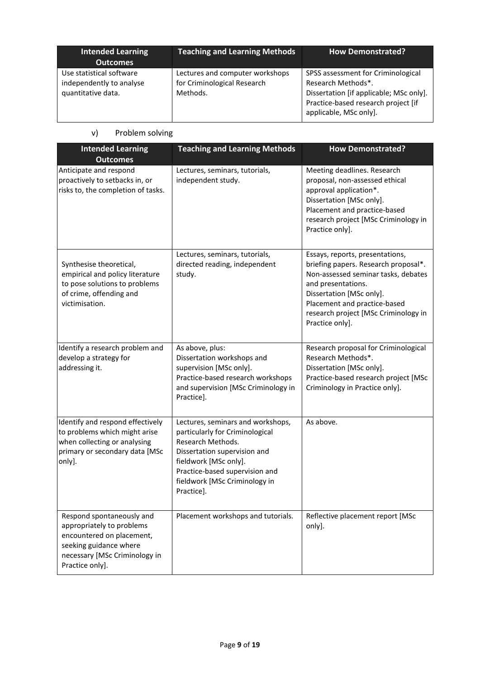| <b>Intended Learning</b><br><b>Outcomes</b>                                | <b>Teaching and Learning Methods</b>                                       | <b>How Demonstrated?</b>                                                                                                                                             |
|----------------------------------------------------------------------------|----------------------------------------------------------------------------|----------------------------------------------------------------------------------------------------------------------------------------------------------------------|
| Use statistical software<br>independently to analyse<br>quantitative data. | Lectures and computer workshops<br>for Criminological Research<br>Methods. | SPSS assessment for Criminological<br>Research Methods*.<br>Dissertation [if applicable; MSc only].<br>Practice-based research project [if<br>applicable, MSc only]. |

v) Problem solving

| <b>Intended Learning</b><br><b>Outcomes</b>                                                                                                                       | <b>Teaching and Learning Methods</b><br><b>How Demonstrated?</b>                                                                                                                                                                    |                                                                                                                                                                                                                                                             |
|-------------------------------------------------------------------------------------------------------------------------------------------------------------------|-------------------------------------------------------------------------------------------------------------------------------------------------------------------------------------------------------------------------------------|-------------------------------------------------------------------------------------------------------------------------------------------------------------------------------------------------------------------------------------------------------------|
| Anticipate and respond<br>proactively to setbacks in, or<br>risks to, the completion of tasks.                                                                    | Lectures, seminars, tutorials,<br>independent study.                                                                                                                                                                                | Meeting deadlines. Research<br>proposal, non-assessed ethical<br>approval application*.<br>Dissertation [MSc only].<br>Placement and practice-based<br>research project [MSc Criminology in<br>Practice only].                                              |
| Synthesise theoretical,<br>empirical and policy literature<br>to pose solutions to problems<br>of crime, offending and<br>victimisation.                          | Lectures, seminars, tutorials,<br>directed reading, independent<br>study.                                                                                                                                                           | Essays, reports, presentations,<br>briefing papers. Research proposal*.<br>Non-assessed seminar tasks, debates<br>and presentations.<br>Dissertation [MSc only].<br>Placement and practice-based<br>research project [MSc Criminology in<br>Practice only]. |
| Identify a research problem and<br>develop a strategy for<br>addressing it.                                                                                       | As above, plus:<br>Dissertation workshops and<br>supervision [MSc only].<br>Practice-based research workshops<br>and supervision [MSc Criminology in<br>Practice].                                                                  | Research proposal for Criminological<br>Research Methods*.<br>Dissertation [MSc only].<br>Practice-based research project [MSc<br>Criminology in Practice only].                                                                                            |
| Identify and respond effectively<br>to problems which might arise<br>when collecting or analysing<br>primary or secondary data [MSc<br>only].                     | Lectures, seminars and workshops,<br>particularly for Criminological<br>Research Methods.<br>Dissertation supervision and<br>fieldwork [MSc only].<br>Practice-based supervision and<br>fieldwork [MSc Criminology in<br>Practice]. | As above.                                                                                                                                                                                                                                                   |
| Respond spontaneously and<br>appropriately to problems<br>encountered on placement,<br>seeking guidance where<br>necessary [MSc Criminology in<br>Practice only]. | Placement workshops and tutorials.                                                                                                                                                                                                  | Reflective placement report [MSc<br>only].                                                                                                                                                                                                                  |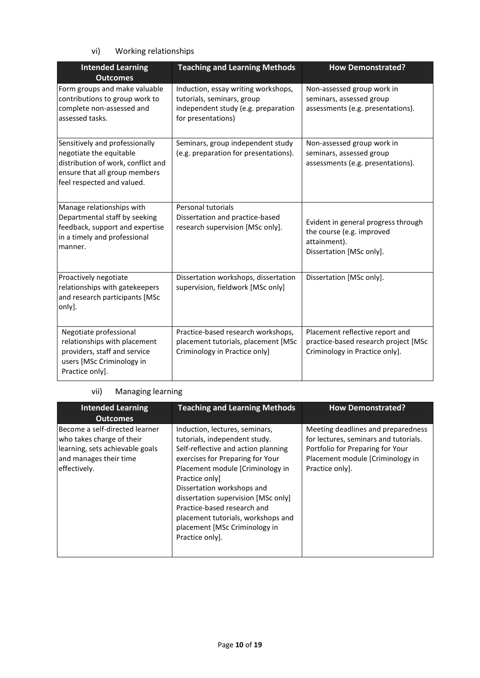# vi) Working relationships

| <b>Intended Learning</b><br><b>Outcomes</b>                                                                                                                    | <b>Teaching and Learning Methods</b>                                                                                           | <b>How Demonstrated?</b>                                                                                     |  |  |
|----------------------------------------------------------------------------------------------------------------------------------------------------------------|--------------------------------------------------------------------------------------------------------------------------------|--------------------------------------------------------------------------------------------------------------|--|--|
| Form groups and make valuable<br>contributions to group work to<br>complete non-assessed and<br>assessed tasks.                                                | Induction, essay writing workshops,<br>tutorials, seminars, group<br>independent study (e.g. preparation<br>for presentations) | Non-assessed group work in<br>seminars, assessed group<br>assessments (e.g. presentations).                  |  |  |
| Sensitively and professionally<br>negotiate the equitable<br>distribution of work, conflict and<br>ensure that all group members<br>feel respected and valued. | Seminars, group independent study<br>(e.g. preparation for presentations).                                                     | Non-assessed group work in<br>seminars, assessed group<br>assessments (e.g. presentations).                  |  |  |
| Manage relationships with<br>Departmental staff by seeking<br>feedback, support and expertise<br>in a timely and professional<br>manner.                       | Personal tutorials<br>Dissertation and practice-based<br>research supervision [MSc only].                                      | Evident in general progress through<br>the course (e.g. improved<br>attainment).<br>Dissertation [MSc only]. |  |  |
| Proactively negotiate<br>relationships with gatekeepers<br>and research participants [MSc<br>only].                                                            | Dissertation workshops, dissertation<br>supervision, fieldwork [MSc only]                                                      | Dissertation [MSc only].                                                                                     |  |  |
| Negotiate professional<br>relationships with placement<br>providers, staff and service<br>users [MSc Criminology in<br>Practice only].                         | Practice-based research workshops,<br>placement tutorials, placement [MSc<br>Criminology in Practice only]                     | Placement reflective report and<br>practice-based research project [MSc<br>Criminology in Practice only].    |  |  |

#### vii) Managing learning

| <b>Intended Learning</b><br><b>Outcomes</b>                                                                                              | <b>Teaching and Learning Methods</b>                                                                                                                                                                                                                                                                                                                                                         | <b>How Demonstrated?</b>                                                                                                                                              |
|------------------------------------------------------------------------------------------------------------------------------------------|----------------------------------------------------------------------------------------------------------------------------------------------------------------------------------------------------------------------------------------------------------------------------------------------------------------------------------------------------------------------------------------------|-----------------------------------------------------------------------------------------------------------------------------------------------------------------------|
| Become a self-directed learner<br>who takes charge of their<br>learning, sets achievable goals<br>and manages their time<br>effectively. | Induction, lectures, seminars,<br>tutorials, independent study.<br>Self-reflective and action planning<br>exercises for Preparing for Your<br>Placement module [Criminology in<br>Practice only<br>Dissertation workshops and<br>dissertation supervision [MSc only]<br>Practice-based research and<br>placement tutorials, workshops and<br>placement [MSc Criminology in<br>Practice only. | Meeting deadlines and preparedness<br>for lectures, seminars and tutorials.<br>Portfolio for Preparing for Your<br>Placement module [Criminology in<br>Practice only. |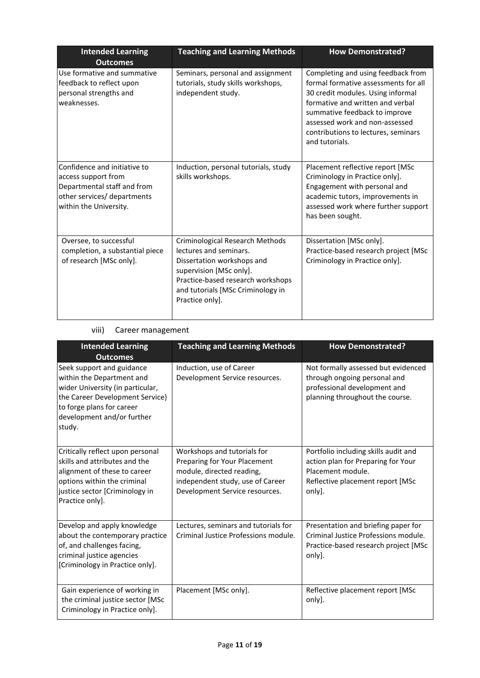| <b>Intended Learning</b><br><b>Outcomes</b>                                                                                                                                                       | <b>Teaching and Learning Methods</b><br><b>How Demonstrated?</b>                                                                                                                                                |                                                                                                                                                                                                                                                                                 |
|---------------------------------------------------------------------------------------------------------------------------------------------------------------------------------------------------|-----------------------------------------------------------------------------------------------------------------------------------------------------------------------------------------------------------------|---------------------------------------------------------------------------------------------------------------------------------------------------------------------------------------------------------------------------------------------------------------------------------|
| Use formative and summative<br>Seminars, personal and assignment<br>feedback to reflect upon<br>tutorials, study skills workshops,<br>independent study.<br>personal strengths and<br>weaknesses. |                                                                                                                                                                                                                 | Completing and using feedback from<br>formal formative assessments for all<br>30 credit modules. Using informal<br>formative and written and verbal<br>summative feedback to improve<br>assessed work and non-assessed<br>contributions to lectures, seminars<br>and tutorials. |
| Confidence and initiative to<br>access support from<br>Departmental staff and from<br>other services/ departments<br>within the University.                                                       | Induction, personal tutorials, study<br>skills workshops.                                                                                                                                                       | Placement reflective report [MSc<br>Criminology in Practice only].<br>Engagement with personal and<br>academic tutors, improvements in<br>assessed work where further support<br>has been sought.                                                                               |
| Oversee, to successful<br>completion, a substantial piece<br>of research [MSc only].                                                                                                              | Criminological Research Methods<br>lectures and seminars.<br>Dissertation workshops and<br>supervision [MSc only].<br>Practice-based research workshops<br>and tutorials [MSc Criminology in<br>Practice only]. | Dissertation [MSc only].<br>Practice-based research project [MSc<br>Criminology in Practice only].                                                                                                                                                                              |

## viii) Career management

| <b>Intended Learning</b><br><b>Outcomes</b>                                                                                                                                                        | <b>Teaching and Learning Methods</b>                                                                                                                           | <b>How Demonstrated?</b>                                                                                                                      |
|----------------------------------------------------------------------------------------------------------------------------------------------------------------------------------------------------|----------------------------------------------------------------------------------------------------------------------------------------------------------------|-----------------------------------------------------------------------------------------------------------------------------------------------|
| Seek support and guidance<br>within the Department and<br>wider University (in particular,<br>the Career Development Service}<br>to forge plans for career<br>development and/or further<br>study. | Induction, use of Career<br>Development Service resources.                                                                                                     | Not formally assessed but evidenced<br>through ongoing personal and<br>professional development and<br>planning throughout the course.        |
| Critically reflect upon personal<br>skills and attributes and the<br>alignment of these to career<br>options within the criminal<br>justice sector [Criminology in<br>Practice only].              | Workshops and tutorials for<br>Preparing for Your Placement<br>module, directed reading,<br>independent study, use of Career<br>Development Service resources. | Portfolio including skills audit and<br>action plan for Preparing for Your<br>Placement module.<br>Reflective placement report [MSc<br>only]. |
| Develop and apply knowledge<br>about the contemporary practice<br>of, and challenges facing,<br>criminal justice agencies<br>[Criminology in Practice only].                                       | Lectures, seminars and tutorials for<br>Criminal Justice Professions module.                                                                                   | Presentation and briefing paper for<br>Criminal Justice Professions module.<br>Practice-based research project [MSc<br>only].                 |
| Gain experience of working in<br>the criminal justice sector [MSc<br>Criminology in Practice only].                                                                                                | Placement [MSc only].                                                                                                                                          | Reflective placement report [MSc<br>only].                                                                                                    |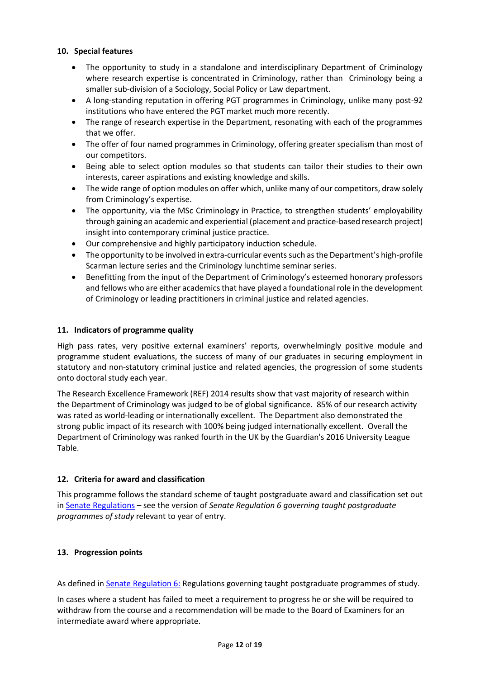#### **10. Special features**

- The opportunity to study in a standalone and interdisciplinary Department of Criminology where research expertise is concentrated in Criminology, rather than Criminology being a smaller sub-division of a Sociology, Social Policy or Law department.
- A long-standing reputation in offering PGT programmes in Criminology, unlike many post-92 institutions who have entered the PGT market much more recently.
- The range of research expertise in the Department, resonating with each of the programmes that we offer.
- The offer of four named programmes in Criminology, offering greater specialism than most of our competitors.
- Being able to select option modules so that students can tailor their studies to their own interests, career aspirations and existing knowledge and skills.
- The wide range of option modules on offer which, unlike many of our competitors, draw solely from Criminology's expertise.
- The opportunity, via the MSc Criminology in Practice, to strengthen students' employability through gaining an academic and experiential (placement and practice-based research project) insight into contemporary criminal justice practice.
- Our comprehensive and highly participatory induction schedule.
- The opportunity to be involved in extra-curricular events such as the Department's high-profile Scarman lecture series and the Criminology lunchtime seminar series.
- **•** Benefitting from the input of the Department of Criminology's esteemed honorary professors and fellows who are either academics that have played a foundational role in the development of Criminology or leading practitioners in criminal justice and related agencies.

## **11. Indicators of programme quality**

High pass rates, very positive external examiners' reports, overwhelmingly positive module and programme student evaluations, the success of many of our graduates in securing employment in statutory and non-statutory criminal justice and related agencies, the progression of some students onto doctoral study each year.

The Research Excellence Framework (REF) 2014 results show that vast majority of research within the Department of Criminology was judged to be of global significance. 85% of our research activity was rated as world-leading or internationally excellent. The Department also demonstrated the strong public impact of its research with 100% being judged internationally excellent. Overall the Department of Criminology was ranked fourth in the UK by the Guardian's 2016 University League Table.

## **12. Criteria for award and classification**

This programme follows the standard scheme of taught postgraduate award and classification set out i[n Senate Regulations](http://www.le.ac.uk/senate-regulations) – see the version of *Senate Regulation 6 governing taught postgraduate programmes of study* relevant to year of entry.

#### **13. Progression points**

As defined i[n Senate Regulation 6:](http://www.le.ac.uk/senate-regulation6) Regulations governing taught postgraduate programmes of study.

In cases where a student has failed to meet a requirement to progress he or she will be required to withdraw from the course and a recommendation will be made to the Board of Examiners for an intermediate award where appropriate.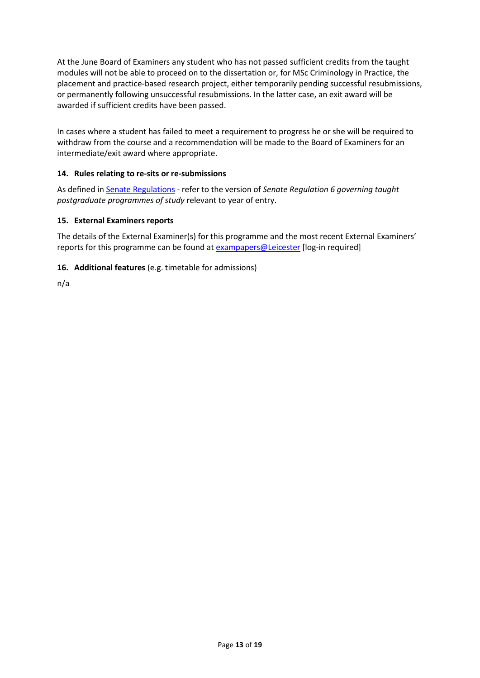At the June Board of Examiners any student who has not passed sufficient credits from the taught modules will not be able to proceed on to the dissertation or, for MSc Criminology in Practice, the placement and practice-based research project, either temporarily pending successful resubmissions, or permanently following unsuccessful resubmissions. In the latter case, an exit award will be awarded if sufficient credits have been passed.

In cases where a student has failed to meet a requirement to progress he or she will be required to withdraw from the course and a recommendation will be made to the Board of Examiners for an intermediate/exit award where appropriate.

## **14. Rules relating to re-sits or re-submissions**

As defined i[n Senate Regulations](http://www.le.ac.uk/senate-regulation6) - refer to the version of *Senate Regulation 6 governing taught postgraduate programmes of study* relevant to year of entry.

#### **15. External Examiners reports**

The details of the External Examiner(s) for this programme and the most recent External Examiners' reports for this programme can be found at [exampapers@Leicester](https://exampapers.le.ac.uk/) [log-in required]

#### **16. Additional features** (e.g. timetable for admissions)

n/a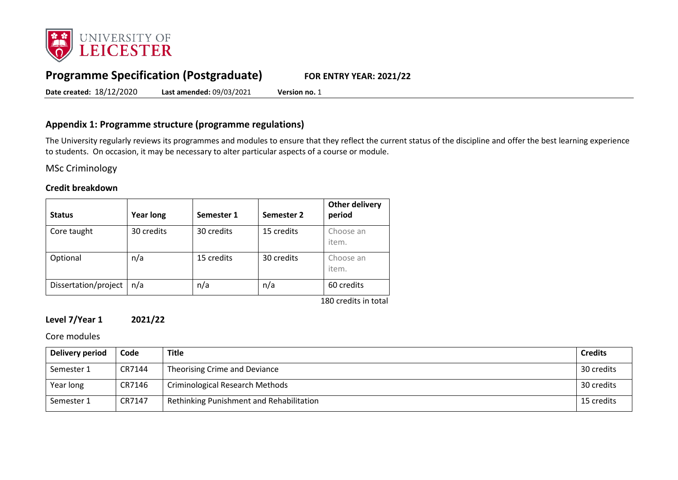

# **Programme Specification (Postgraduate) FOR ENTRY YEAR: 2021/22**

**Date created:** 18/12/2020 **Last amended:** 09/03/2021 **Version no.** 1

## **Appendix 1: Programme structure (programme regulations)**

The University regularly reviews its programmes and modules to ensure that they reflect the current status of the discipline and offer the best learning experience to students. On occasion, it may be necessary to alter particular aspects of a course or module.

MSc Criminology

#### **Credit breakdown**

| <b>Status</b>        | <b>Year long</b> | Semester 1 | Semester 2 | <b>Other delivery</b><br>period    |
|----------------------|------------------|------------|------------|------------------------------------|
| Core taught          | 30 credits       | 30 credits | 15 credits | Choose an<br>item.                 |
| Optional             | n/a              | 15 credits | 30 credits | Choose an<br>item.                 |
| Dissertation/project | n/a              | n/a        | n/a        | 60 credits<br>$100$ $11$ $11$ $11$ |

180 credits in total

## **Level 7/Year 1 2021/22**

Core modules

| Delivery period | Code   | <b>Title</b>                             | <b>Credits</b> |
|-----------------|--------|------------------------------------------|----------------|
| Semester 1      | CR7144 | Theorising Crime and Deviance            | 30 credits     |
| Year long       | CR7146 | <b>Criminological Research Methods</b>   | 30 credits     |
| Semester 1      | CR7147 | Rethinking Punishment and Rehabilitation | 15 credits     |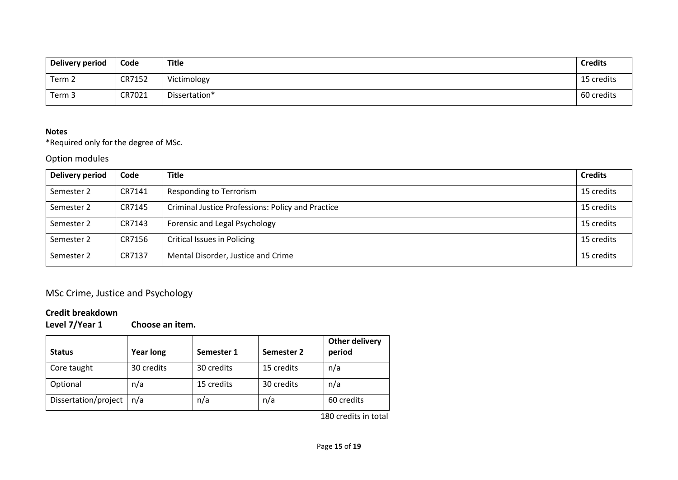| Delivery period | Code   | Title         | <b>Credits</b> |
|-----------------|--------|---------------|----------------|
| Term 2          | CR7152 | Victimology   | 15 credits     |
| Term 3          | CR7021 | Dissertation* | 60 credits     |

### **Notes**

\*Required only for the degree of MSc.

## Option modules

| Delivery period | Code   | <b>Title</b>                                      | <b>Credits</b> |
|-----------------|--------|---------------------------------------------------|----------------|
| Semester 2      | CR7141 | Responding to Terrorism                           | 15 credits     |
| Semester 2      | CR7145 | Criminal Justice Professions: Policy and Practice | 15 credits     |
| Semester 2      | CR7143 | Forensic and Legal Psychology                     | 15 credits     |
| Semester 2      | CR7156 | <b>Critical Issues in Policing</b>                | 15 credits     |
| Semester 2      | CR7137 | Mental Disorder, Justice and Crime                | 15 credits     |

# MSc Crime, Justice and Psychology

# **Credit breakdown**

**Level 7/Year 1 Choose an item.**

| <b>Status</b>        | <b>Year long</b> | Semester 1 | Semester 2 | <b>Other delivery</b><br>period |
|----------------------|------------------|------------|------------|---------------------------------|
| Core taught          | 30 credits       | 30 credits | 15 credits | n/a                             |
| Optional             | n/a              | 15 credits | 30 credits | n/a                             |
| Dissertation/project | n/a              | n/a        | n/a        | 60 credits                      |

180 credits in total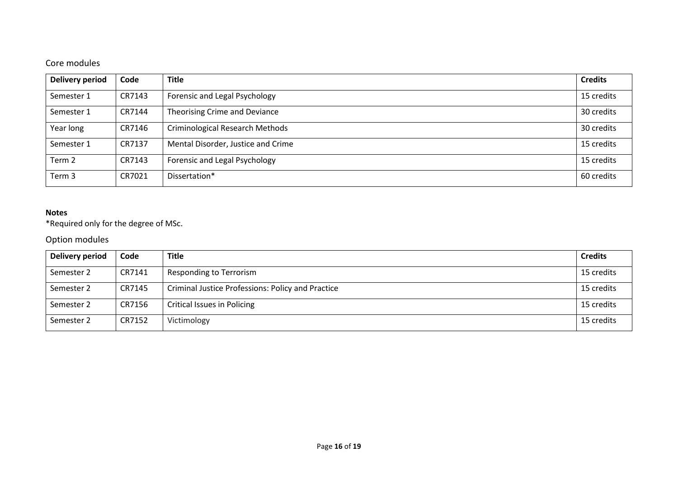# Core modules

| <b>Delivery period</b> | Code   | <b>Title</b>                           | <b>Credits</b> |
|------------------------|--------|----------------------------------------|----------------|
| Semester 1             | CR7143 | Forensic and Legal Psychology          | 15 credits     |
| Semester 1             | CR7144 | Theorising Crime and Deviance          | 30 credits     |
| Year long              | CR7146 | <b>Criminological Research Methods</b> | 30 credits     |
| Semester 1             | CR7137 | Mental Disorder, Justice and Crime     | 15 credits     |
| Term <sub>2</sub>      | CR7143 | Forensic and Legal Psychology          | 15 credits     |
| Term 3                 | CR7021 | Dissertation*                          | 60 credits     |

## **Notes**

\*Required only for the degree of MSc.

# Option modules

| <b>Delivery period</b> | Code   | <b>Title</b>                                             | <b>Credits</b> |
|------------------------|--------|----------------------------------------------------------|----------------|
| Semester 2             | CR7141 | Responding to Terrorism                                  | 15 credits     |
| Semester 2             | CR7145 | <b>Criminal Justice Professions: Policy and Practice</b> | 15 credits     |
| Semester 2             | CR7156 | Critical Issues in Policing                              | 15 credits     |
| Semester 2             | CR7152 | Victimology                                              | 15 credits     |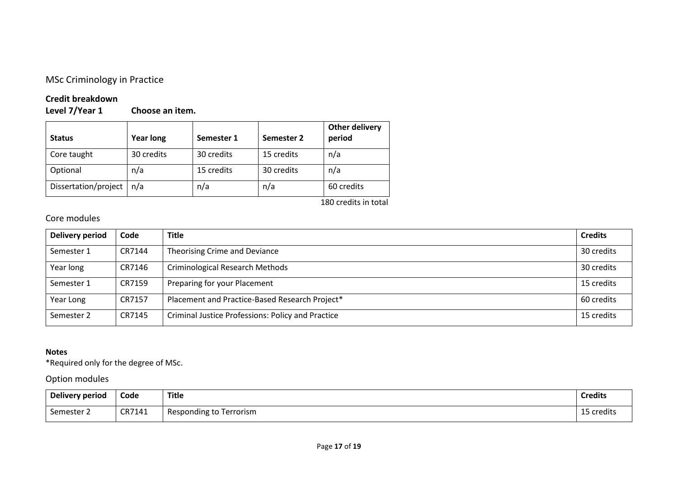## MSc Criminology in Practice

# **Credit breakdown**

**Choose an item.** 

| <b>Status</b>        | <b>Year long</b> | Semester 1 | Semester 2 | <b>Other delivery</b><br>period |
|----------------------|------------------|------------|------------|---------------------------------|
| Core taught          | 30 credits       | 30 credits | 15 credits | n/a                             |
| Optional             | n/a              | 15 credits | 30 credits | n/a                             |
| Dissertation/project | n/a              | n/a        | n/a        | 60 credits                      |

180 credits in total

# Core modules

| Delivery period | Code   | <b>Title</b>                                             | <b>Credits</b> |
|-----------------|--------|----------------------------------------------------------|----------------|
| Semester 1      | CR7144 | Theorising Crime and Deviance                            | 30 credits     |
| Year long       | CR7146 | <b>Criminological Research Methods</b>                   | 30 credits     |
| Semester 1      | CR7159 | Preparing for your Placement                             | 15 credits     |
| Year Long       | CR7157 | Placement and Practice-Based Research Project*           | 60 credits     |
| Semester 2      | CR7145 | <b>Criminal Justice Professions: Policy and Practice</b> | 15 credits     |

## **Notes**

\*Required only for the degree of MSc.

# Option modules

| Delivery period         | Code   | <b>Title</b>               | <b>Credits</b> |
|-------------------------|--------|----------------------------|----------------|
| $\sim$<br>Semester<br>╶ | CR7141 | Responding to<br>Terrorism | 5 credits<br>ᅩ |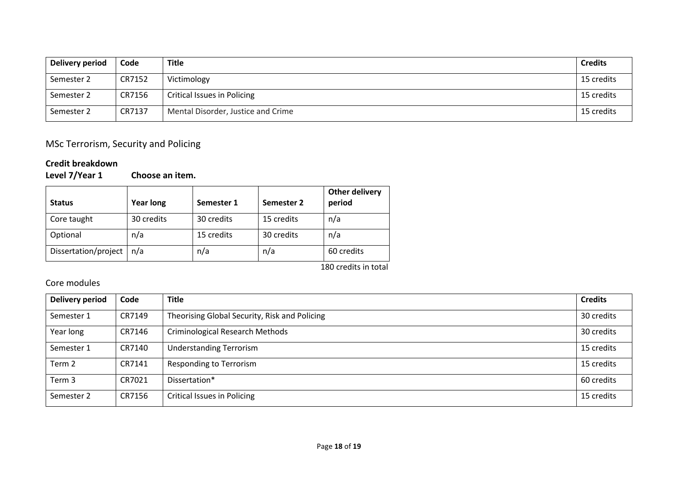| Delivery period | Code   | <b>Title</b>                       | <b>Credits</b> |
|-----------------|--------|------------------------------------|----------------|
| Semester 2      | CR7152 | Victimology                        | 15 credits     |
| Semester 2      | CR7156 | Critical Issues in Policing        | 15 credits     |
| Semester 2      | CR7137 | Mental Disorder, Justice and Crime | 15 credits     |

# MSc Terrorism, Security and Policing

# **Credit breakdown**

**Choose an item.** 

| <b>Status</b>        | <b>Year long</b> | Semester 1 | Semester 2 | <b>Other delivery</b><br>period |
|----------------------|------------------|------------|------------|---------------------------------|
| Core taught          | 30 credits       | 30 credits | 15 credits | n/a                             |
| Optional             | n/a              | 15 credits | 30 credits | n/a                             |
| Dissertation/project | n/a              | n/a        | n/a        | 60 credits                      |

180 credits in total

# Core modules

| <b>Delivery period</b> | Code   | <b>Title</b>                                  | <b>Credits</b> |
|------------------------|--------|-----------------------------------------------|----------------|
| Semester 1             | CR7149 | Theorising Global Security, Risk and Policing | 30 credits     |
| Year long              | CR7146 | Criminological Research Methods               | 30 credits     |
| Semester 1             | CR7140 | <b>Understanding Terrorism</b>                | 15 credits     |
| Term <sub>2</sub>      | CR7141 | <b>Responding to Terrorism</b>                | 15 credits     |
| Term 3                 | CR7021 | Dissertation*                                 | 60 credits     |
| Semester 2             | CR7156 | Critical Issues in Policing                   | 15 credits     |